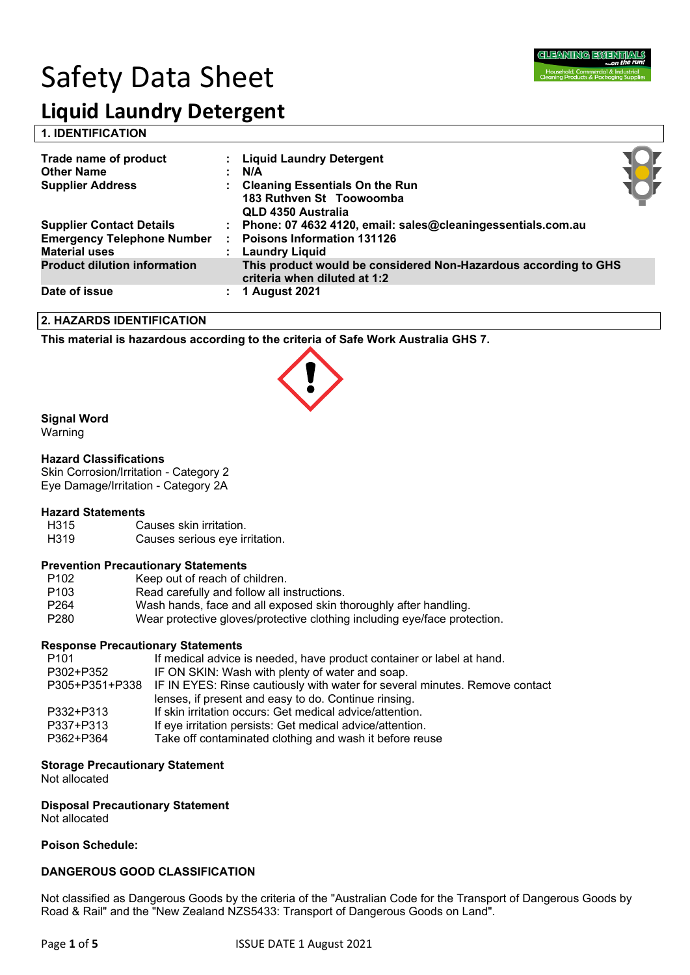# Safety Data Sheet



# **Liquid Laundry Detergent**

**1. IDENTIFICATION** 

| Trade name of product<br><b>Other Name</b><br><b>Supplier Address</b>                        | : Liquid Laundry Detergent<br>N/A<br><b>Cleaning Essentials On the Run</b><br>183 Ruthven St Toowoomba<br>QLD 4350 Australia |  |
|----------------------------------------------------------------------------------------------|------------------------------------------------------------------------------------------------------------------------------|--|
| <b>Supplier Contact Details</b><br><b>Emergency Telephone Number</b><br><b>Material uses</b> | : Phone: 07 4632 4120, email: sales@cleaningessentials.com.au<br><b>Poisons Information 131126</b><br>: Laundry Liquid       |  |
| <b>Product dilution information</b>                                                          | This product would be considered Non-Hazardous according to GHS<br>criteria when diluted at 1:2                              |  |
| Date of issue                                                                                | <b>1 August 2021</b>                                                                                                         |  |

#### **2. HAZARDS IDENTIFICATION**

**This material is hazardous according to the criteria of Safe Work Australia GHS 7.**



#### **Signal Word**

Warning

#### **Hazard Classifications**

Skin Corrosion/Irritation - Category 2 Eye Damage/Irritation - Category 2A

# **Hazard Statements**

H315 Causes skin irritation.<br>H319 Causes serious eye ir

Causes serious eye irritation.

#### **Prevention Precautionary Statements**

| P <sub>102</sub> | Keep out of reach of children.                                            |
|------------------|---------------------------------------------------------------------------|
| P <sub>103</sub> | Read carefully and follow all instructions.                               |
| P <sub>264</sub> | Wash hands, face and all exposed skin thoroughly after handling.          |
| P <sub>280</sub> | Wear protective gloves/protective clothing including eye/face protection. |

#### **Response Precautionary Statements**

| P <sub>101</sub> | If medical advice is needed, have product container or label at hand.                      |
|------------------|--------------------------------------------------------------------------------------------|
| P302+P352        | IF ON SKIN: Wash with plenty of water and soap.                                            |
|                  | P305+P351+P338 IF IN EYES: Rinse cautiously with water for several minutes. Remove contact |
|                  | lenses, if present and easy to do. Continue rinsing.                                       |
| P332+P313        | If skin irritation occurs: Get medical advice/attention.                                   |
| P337+P313        | If eye irritation persists: Get medical advice/attention.                                  |
| P362+P364        | Take off contaminated clothing and wash it before reuse                                    |
|                  |                                                                                            |

#### **Storage Precautionary Statement**

Not allocated

**Disposal Precautionary Statement** Not allocated

**Poison Schedule:**

#### **DANGEROUS GOOD CLASSIFICATION**

Not classified as Dangerous Goods by the criteria of the "Australian Code for the Transport of Dangerous Goods by Road & Rail" and the "New Zealand NZS5433: Transport of Dangerous Goods on Land".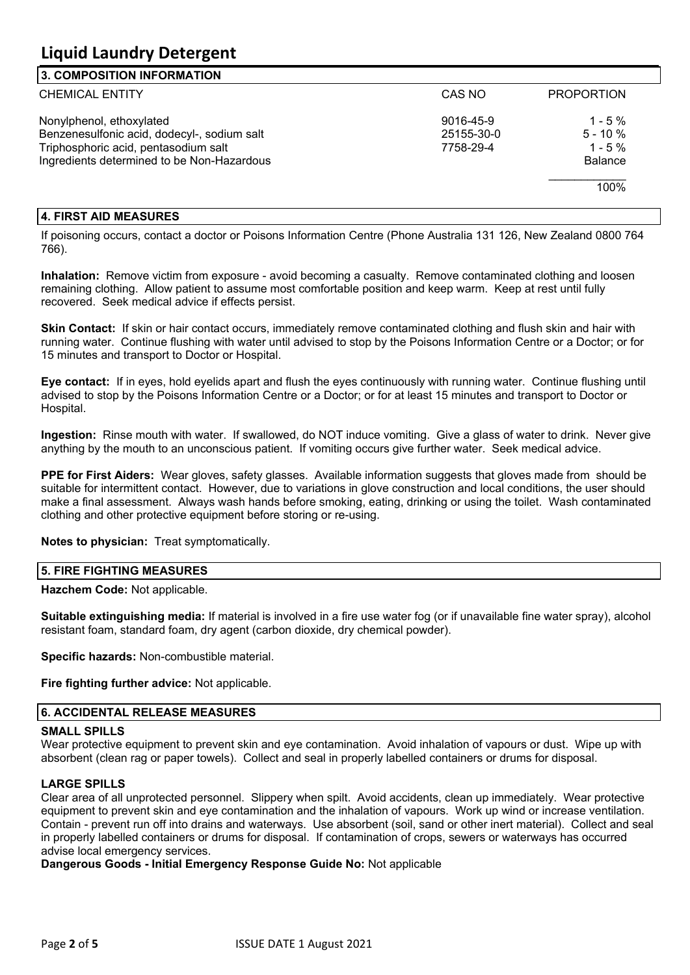#### **3. COMPOSITION INFORMATION**

| וט. טשוואט וויטו וועט וויטט                 |            |                   |
|---------------------------------------------|------------|-------------------|
| <b>CHEMICAL ENTITY</b>                      | CAS NO     | <b>PROPORTION</b> |
| Nonylphenol, ethoxylated                    | 9016-45-9  | $1 - 5\%$         |
| Benzenesulfonic acid, dodecyl-, sodium salt | 25155-30-0 | $5 - 10 \%$       |
| Triphosphoric acid, pentasodium salt        | 7758-29-4  | $1 - 5\%$         |
| Ingredients determined to be Non-Hazardous  |            | <b>Balance</b>    |
|                                             |            | 100%              |
|                                             |            |                   |

#### **4. FIRST AID MEASURES**

If poisoning occurs, contact a doctor or Poisons Information Centre (Phone Australia 131 126, New Zealand 0800 764 766).

**Inhalation:** Remove victim from exposure - avoid becoming a casualty. Remove contaminated clothing and loosen remaining clothing. Allow patient to assume most comfortable position and keep warm. Keep at rest until fully recovered. Seek medical advice if effects persist.

**Skin Contact:** If skin or hair contact occurs, immediately remove contaminated clothing and flush skin and hair with running water. Continue flushing with water until advised to stop by the Poisons Information Centre or a Doctor; or for 15 minutes and transport to Doctor or Hospital.

**Eye contact:** If in eyes, hold eyelids apart and flush the eyes continuously with running water. Continue flushing until advised to stop by the Poisons Information Centre or a Doctor; or for at least 15 minutes and transport to Doctor or Hospital.

**Ingestion:** Rinse mouth with water. If swallowed, do NOT induce vomiting. Give a glass of water to drink. Never give anything by the mouth to an unconscious patient. If vomiting occurs give further water. Seek medical advice.

**PPE for First Aiders:** Wear gloves, safety glasses. Available information suggests that gloves made from should be suitable for intermittent contact. However, due to variations in glove construction and local conditions, the user should make a final assessment. Always wash hands before smoking, eating, drinking or using the toilet. Wash contaminated clothing and other protective equipment before storing or re-using.

**Notes to physician:** Treat symptomatically.

#### **5. FIRE FIGHTING MEASURES**

**Hazchem Code:** Not applicable.

**Suitable extinguishing media:** If material is involved in a fire use water fog (or if unavailable fine water spray), alcohol resistant foam, standard foam, dry agent (carbon dioxide, dry chemical powder).

**Specific hazards:** Non-combustible material.

**Fire fighting further advice:** Not applicable.

#### **6. ACCIDENTAL RELEASE MEASURES**

#### **SMALL SPILLS**

Wear protective equipment to prevent skin and eve contamination. Avoid inhalation of vapours or dust. Wipe up with absorbent (clean rag or paper towels). Collect and seal in properly labelled containers or drums for disposal.

#### **LARGE SPILLS**

Clear area of all unprotected personnel. Slippery when spilt. Avoid accidents, clean up immediately. Wear protective equipment to prevent skin and eye contamination and the inhalation of vapours. Work up wind or increase ventilation. Contain - prevent run off into drains and waterways. Use absorbent (soil, sand or other inert material). Collect and seal in properly labelled containers or drums for disposal. If contamination of crops, sewers or waterways has occurred advise local emergency services.

**Dangerous Goods - Initial Emergency Response Guide No:** Not applicable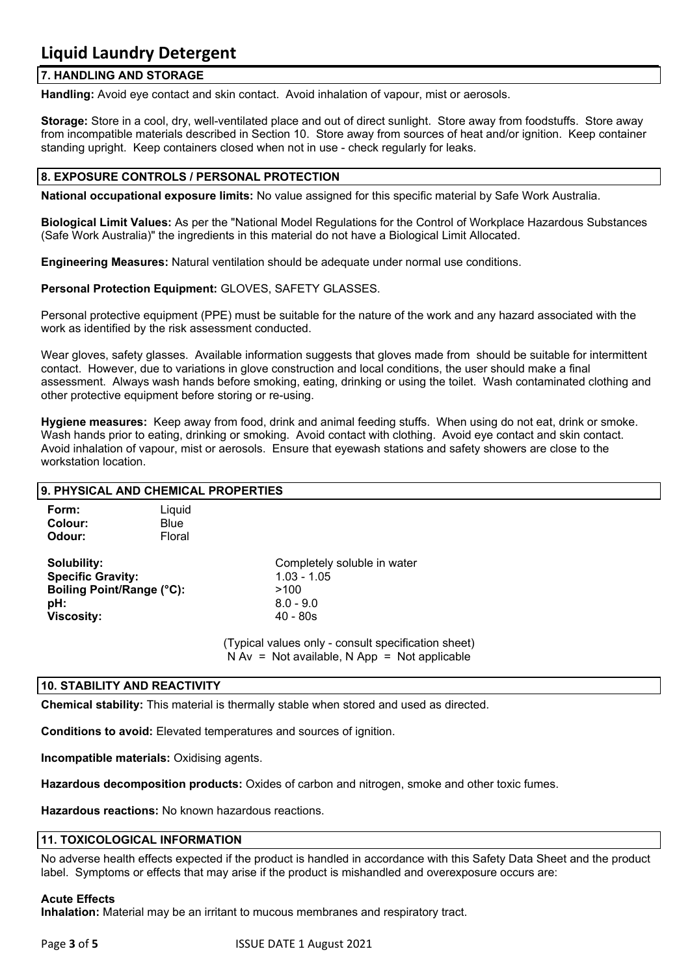#### **7. HANDLING AND STORAGE**

**Handling:** Avoid eye contact and skin contact. Avoid inhalation of vapour, mist or aerosols.

**Storage:** Store in a cool, dry, well-ventilated place and out of direct sunlight. Store away from foodstuffs. Store away from incompatible materials described in Section 10. Store away from sources of heat and/or ignition. Keep container standing upright. Keep containers closed when not in use - check regularly for leaks.

#### **8. EXPOSURE CONTROLS / PERSONAL PROTECTION**

**National occupational exposure limits:** No value assigned for this specific material by Safe Work Australia.

**Biological Limit Values:** As per the "National Model Regulations for the Control of Workplace Hazardous Substances (Safe Work Australia)" the ingredients in this material do not have a Biological Limit Allocated.

**Engineering Measures:** Natural ventilation should be adequate under normal use conditions.

**Personal Protection Equipment:** GLOVES, SAFETY GLASSES.

Personal protective equipment (PPE) must be suitable for the nature of the work and any hazard associated with the work as identified by the risk assessment conducted.

Wear gloves, safety glasses. Available information suggests that gloves made from should be suitable for intermittent contact. However, due to variations in glove construction and local conditions, the user should make a final assessment. Always wash hands before smoking, eating, drinking or using the toilet. Wash contaminated clothing and other protective equipment before storing or re-using.

**Hygiene measures:** Keep away from food, drink and animal feeding stuffs. When using do not eat, drink or smoke. Wash hands prior to eating, drinking or smoking. Avoid contact with clothing. Avoid eye contact and skin contact. Avoid inhalation of vapour, mist or aerosols. Ensure that eyewash stations and safety showers are close to the workstation location.

#### **9. PHYSICAL AND CHEMICAL PROPERTIES**

| Form:<br>Colour:<br>Odour:                                                                       | Liquid<br>Blue<br>Floral |                                                                                                                                          |
|--------------------------------------------------------------------------------------------------|--------------------------|------------------------------------------------------------------------------------------------------------------------------------------|
| Solubility:<br><b>Specific Gravity:</b><br>Boiling Point/Range (°C):<br>pH:<br><b>Viscosity:</b> |                          | Completely soluble in water<br>$1.03 - 1.05$<br>>100<br>$8.0 - 9.0$<br>$40 - 80s$<br>(Typical values only - consult specification sheet) |
|                                                                                                  |                          |                                                                                                                                          |

N Av = Not available, N App = Not applicable

#### **10. STABILITY AND REACTIVITY**

**Chemical stability:** This material is thermally stable when stored and used as directed.

**Conditions to avoid:** Elevated temperatures and sources of ignition.

**Incompatible materials:** Oxidising agents.

**Hazardous decomposition products:** Oxides of carbon and nitrogen, smoke and other toxic fumes.

**Hazardous reactions:** No known hazardous reactions.

#### **11. TOXICOLOGICAL INFORMATION**

No adverse health effects expected if the product is handled in accordance with this Safety Data Sheet and the product label. Symptoms or effects that may arise if the product is mishandled and overexposure occurs are:

#### **Acute Effects**

**Inhalation:** Material may be an irritant to mucous membranes and respiratory tract.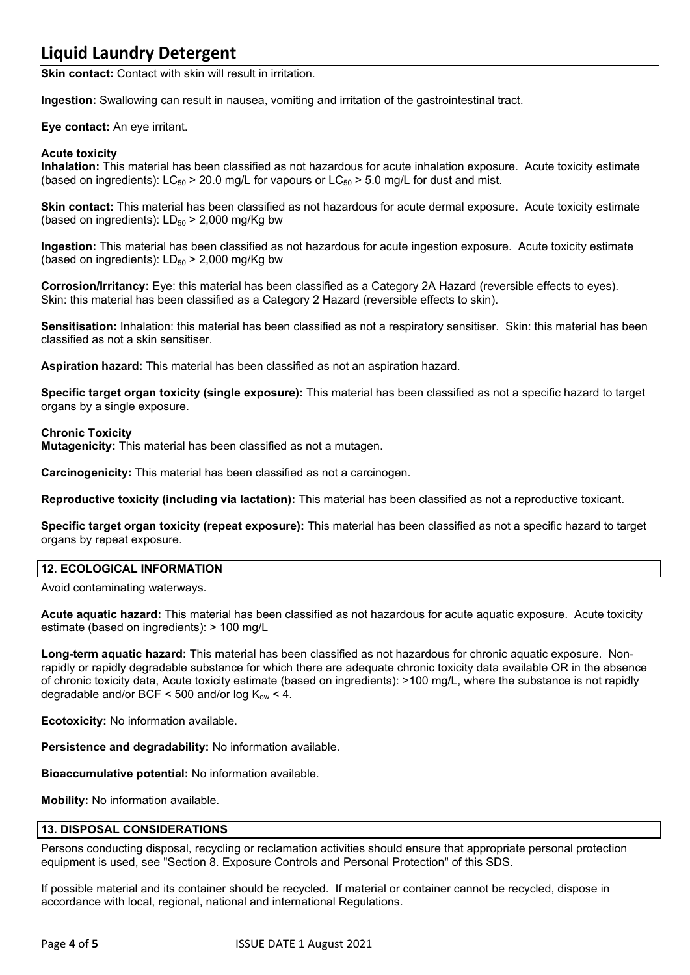**Skin contact:** Contact with skin will result in irritation.

**Ingestion:** Swallowing can result in nausea, vomiting and irritation of the gastrointestinal tract.

**Eye contact:** An eye irritant.

#### **Acute toxicity**

**Inhalation:** This material has been classified as not hazardous for acute inhalation exposure. Acute toxicity estimate (based on ingredients):  $LC_{50}$  > 20.0 mg/L for vapours or  $LC_{50}$  > 5.0 mg/L for dust and mist.

**Skin contact:** This material has been classified as not hazardous for acute dermal exposure. Acute toxicity estimate (based on ingredients):  $LD_{50}$  > 2,000 mg/Kg bw

**Ingestion:** This material has been classified as not hazardous for acute ingestion exposure. Acute toxicity estimate (based on ingredients):  $LD_{50}$  > 2,000 mg/Kg bw

**Corrosion/Irritancy:** Eye: this material has been classified as a Category 2A Hazard (reversible effects to eyes). Skin: this material has been classified as a Category 2 Hazard (reversible effects to skin).

**Sensitisation:** Inhalation: this material has been classified as not a respiratory sensitiser. Skin: this material has been classified as not a skin sensitiser.

**Aspiration hazard:** This material has been classified as not an aspiration hazard.

**Specific target organ toxicity (single exposure):** This material has been classified as not a specific hazard to target organs by a single exposure.

#### **Chronic Toxicity**

**Mutagenicity:** This material has been classified as not a mutagen.

**Carcinogenicity:** This material has been classified as not a carcinogen.

**Reproductive toxicity (including via lactation):** This material has been classified as not a reproductive toxicant.

**Specific target organ toxicity (repeat exposure):** This material has been classified as not a specific hazard to target organs by repeat exposure.

#### **12. ECOLOGICAL INFORMATION**

Avoid contaminating waterways.

**Acute aquatic hazard:** This material has been classified as not hazardous for acute aquatic exposure. Acute toxicity estimate (based on ingredients): > 100 mg/L

**Long-term aquatic hazard:** This material has been classified as not hazardous for chronic aquatic exposure. Nonrapidly or rapidly degradable substance for which there are adequate chronic toxicity data available OR in the absence of chronic toxicity data, Acute toxicity estimate (based on ingredients): >100 mg/L, where the substance is not rapidly degradable and/or BCF < 500 and/or log  $K_{ow}$  < 4.

**Ecotoxicity:** No information available.

**Persistence and degradability:** No information available.

**Bioaccumulative potential:** No information available.

**Mobility:** No information available.

#### **13. DISPOSAL CONSIDERATIONS**

Persons conducting disposal, recycling or reclamation activities should ensure that appropriate personal protection equipment is used, see "Section 8. Exposure Controls and Personal Protection" of this SDS.

If possible material and its container should be recycled. If material or container cannot be recycled, dispose in accordance with local, regional, national and international Regulations.